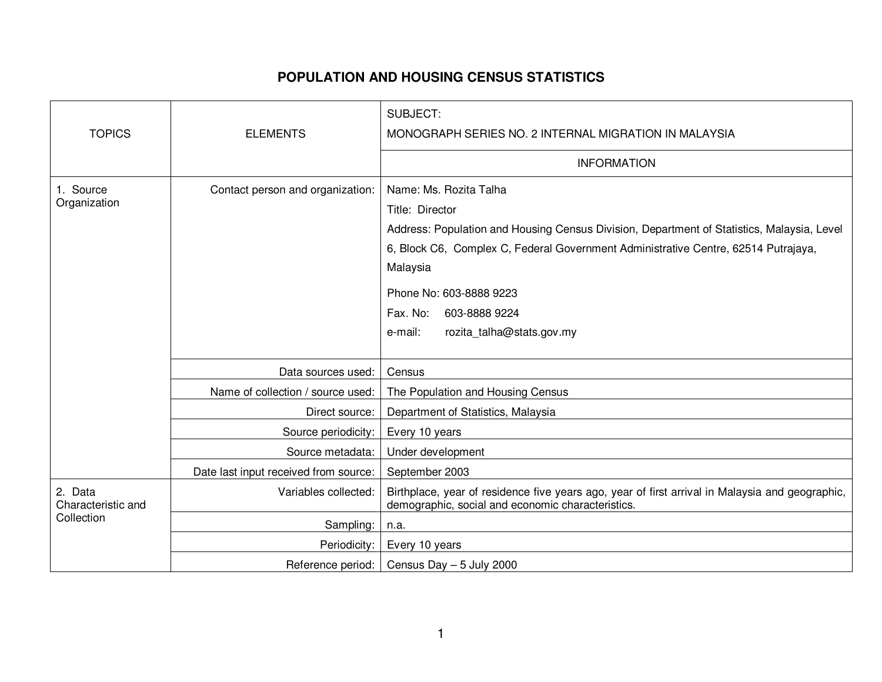## **POPULATION AND HOUSING CENSUS STATISTICS**

| <b>TOPICS</b>                               | <b>ELEMENTS</b>                       | <b>SUBJECT:</b><br>MONOGRAPH SERIES NO. 2 INTERNAL MIGRATION IN MALAYSIA                                                                                                                                                                                                                                                                  |
|---------------------------------------------|---------------------------------------|-------------------------------------------------------------------------------------------------------------------------------------------------------------------------------------------------------------------------------------------------------------------------------------------------------------------------------------------|
|                                             |                                       | <b>INFORMATION</b>                                                                                                                                                                                                                                                                                                                        |
| 1. Source<br>Organization                   | Contact person and organization:      | Name: Ms. Rozita Talha<br>Title: Director<br>Address: Population and Housing Census Division, Department of Statistics, Malaysia, Level<br>6, Block C6, Complex C, Federal Government Administrative Centre, 62514 Putrajaya,<br>Malaysia<br>Phone No: 603-8888 9223<br>Fax. No:<br>603-8888 9224<br>rozita_talha@stats.gov.my<br>e-mail: |
|                                             | Data sources used:                    | Census                                                                                                                                                                                                                                                                                                                                    |
|                                             | Name of collection / source used:     | The Population and Housing Census                                                                                                                                                                                                                                                                                                         |
|                                             | Direct source:                        | Department of Statistics, Malaysia                                                                                                                                                                                                                                                                                                        |
|                                             | Source periodicity:                   | Every 10 years                                                                                                                                                                                                                                                                                                                            |
|                                             | Source metadata:                      | Under development                                                                                                                                                                                                                                                                                                                         |
|                                             | Date last input received from source: | September 2003                                                                                                                                                                                                                                                                                                                            |
| 2. Data<br>Characteristic and<br>Collection | Variables collected:                  | Birthplace, year of residence five years ago, year of first arrival in Malaysia and geographic,<br>demographic, social and economic characteristics.                                                                                                                                                                                      |
|                                             | Sampling:                             | n.a.                                                                                                                                                                                                                                                                                                                                      |
|                                             | Periodicity:                          | Every 10 years                                                                                                                                                                                                                                                                                                                            |
|                                             | Reference period:                     | Census Day - 5 July 2000                                                                                                                                                                                                                                                                                                                  |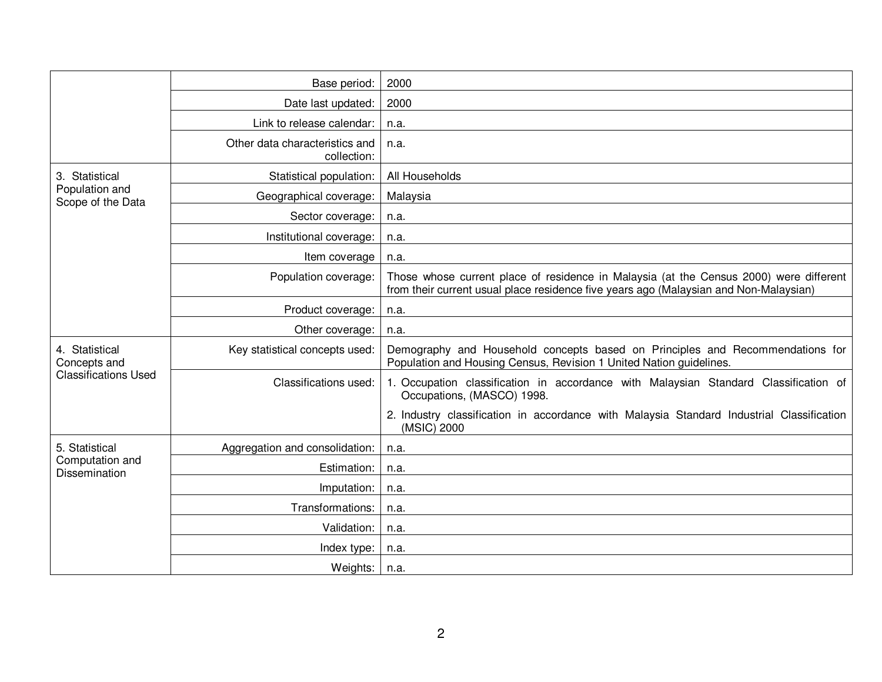|                                                               | Base period:                                  | 2000                                                                                                                                                                            |
|---------------------------------------------------------------|-----------------------------------------------|---------------------------------------------------------------------------------------------------------------------------------------------------------------------------------|
|                                                               | Date last updated:                            | 2000                                                                                                                                                                            |
|                                                               | Link to release calendar:                     | n.a.                                                                                                                                                                            |
|                                                               | Other data characteristics and<br>collection: | n.a.                                                                                                                                                                            |
| 3. Statistical<br>Population and<br>Scope of the Data         | Statistical population:                       | All Households                                                                                                                                                                  |
|                                                               | Geographical coverage:                        | Malaysia                                                                                                                                                                        |
|                                                               | Sector coverage:                              | n.a.                                                                                                                                                                            |
|                                                               | Institutional coverage:                       | n.a.                                                                                                                                                                            |
|                                                               | Item coverage                                 | n.a.                                                                                                                                                                            |
|                                                               | Population coverage:                          | Those whose current place of residence in Malaysia (at the Census 2000) were different<br>from their current usual place residence five years ago (Malaysian and Non-Malaysian) |
|                                                               | Product coverage:                             | n.a.                                                                                                                                                                            |
|                                                               | Other coverage:                               | n.a.                                                                                                                                                                            |
| 4. Statistical<br>Concepts and<br><b>Classifications Used</b> | Key statistical concepts used:                | Demography and Household concepts based on Principles and Recommendations for<br>Population and Housing Census, Revision 1 United Nation guidelines.                            |
|                                                               | Classifications used:                         | 1. Occupation classification in accordance with Malaysian Standard Classification of<br>Occupations, (MASCO) 1998.                                                              |
|                                                               |                                               | 2. Industry classification in accordance with Malaysia Standard Industrial Classification<br>(MSIC) 2000                                                                        |
| 5. Statistical<br>Computation and<br><b>Dissemination</b>     | Aggregation and consolidation:                | n.a.                                                                                                                                                                            |
|                                                               | Estimation:                                   | n.a.                                                                                                                                                                            |
|                                                               | Imputation:                                   | n.a.                                                                                                                                                                            |
|                                                               | Transformations:                              | n.a.                                                                                                                                                                            |
|                                                               | Validation:                                   | n.a.                                                                                                                                                                            |
|                                                               | Index type:                                   | n.a.                                                                                                                                                                            |
|                                                               | Weights:                                      | n.a.                                                                                                                                                                            |